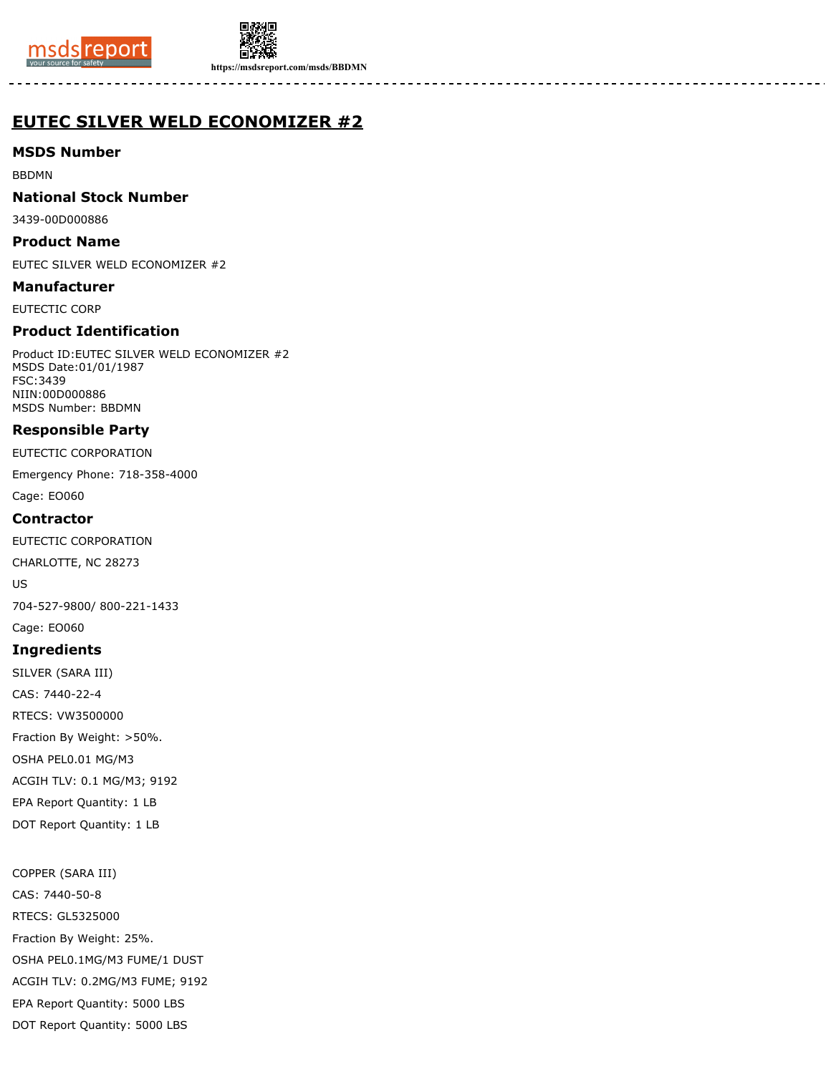



**https://msdsreport.com/msds/BBDMN**

# **EUTEC SILVER WELD ECONOMIZER #2**

### **MSDS Number**

BBDMN

### **National Stock Number**

3439-00D000886

#### **Product Name**

EUTEC SILVER WELD ECONOMIZER #2

### **Manufacturer**

EUTECTIC CORP

# **Product Identification**

Product ID:EUTEC SILVER WELD ECONOMIZER #2 MSDS Date:01/01/1987 FSC:3439 NIIN:00D000886 MSDS Number: BBDMN

# **Responsible Party**

EUTECTIC CORPORATION

Emergency Phone: 718-358-4000

Cage: EO060

### **Contractor**

EUTECTIC CORPORATION

CHARLOTTE, NC 28273

US

704-527-9800/ 800-221-1433

Cage: EO060

# **Ingredients**

SILVER (SARA III) CAS: 7440-22-4 RTECS: VW3500000 Fraction By Weight: >50%. OSHA PEL0.01 MG/M3 ACGIH TLV: 0.1 MG/M3; 9192 EPA Report Quantity: 1 LB DOT Report Quantity: 1 LB

COPPER (SARA III) CAS: 7440-50-8 RTECS: GL5325000 Fraction By Weight: 25%. OSHA PEL0.1MG/M3 FUME/1 DUST ACGIH TLV: 0.2MG/M3 FUME; 9192 EPA Report Quantity: 5000 LBS DOT Report Quantity: 5000 LBS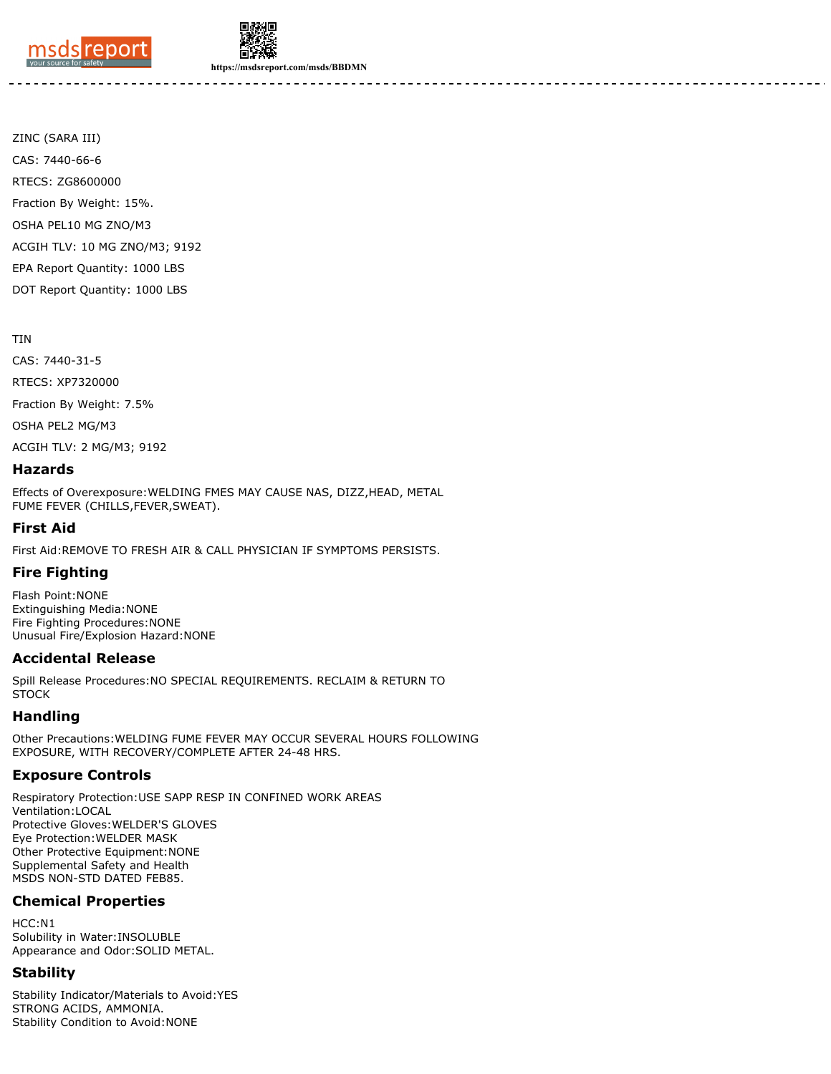



**https://msdsreport.com/msds/BBDMN**

ZINC (SARA III) CAS: 7440-66-6 RTECS: ZG8600000 Fraction By Weight: 15%. OSHA PEL10 MG ZNO/M3 ACGIH TLV: 10 MG ZNO/M3; 9192 EPA Report Quantity: 1000 LBS DOT Report Quantity: 1000 LBS

#### TIN

CAS: 7440-31-5 RTECS: XP7320000 Fraction By Weight: 7.5% OSHA PEL2 MG/M3 ACGIH TLV: 2 MG/M3; 9192

#### **Hazards**

Effects of Overexposure:WELDING FMES MAY CAUSE NAS, DIZZ,HEAD, METAL FUME FEVER (CHILLS,FEVER,SWEAT).

### **First Aid**

First Aid:REMOVE TO FRESH AIR & CALL PHYSICIAN IF SYMPTOMS PERSISTS.

# **Fire Fighting**

Flash Point:NONE Extinguishing Media:NONE Fire Fighting Procedures:NONE Unusual Fire/Explosion Hazard:NONE

#### **Accidental Release**

Spill Release Procedures:NO SPECIAL REQUIREMENTS. RECLAIM & RETURN TO **STOCK** 

# **Handling**

Other Precautions:WELDING FUME FEVER MAY OCCUR SEVERAL HOURS FOLLOWING EXPOSURE, WITH RECOVERY/COMPLETE AFTER 24-48 HRS.

# **Exposure Controls**

Respiratory Protection:USE SAPP RESP IN CONFINED WORK AREAS Ventilation:LOCAL Protective Gloves:WELDER'S GLOVES Eye Protection:WELDER MASK Other Protective Equipment:NONE Supplemental Safety and Health MSDS NON-STD DATED FEB85.

# **Chemical Properties**

HCC:N1 Solubility in Water:INSOLUBLE Appearance and Odor:SOLID METAL.

#### **Stability**

Stability Indicator/Materials to Avoid:YES STRONG ACIDS, AMMONIA. Stability Condition to Avoid:NONE